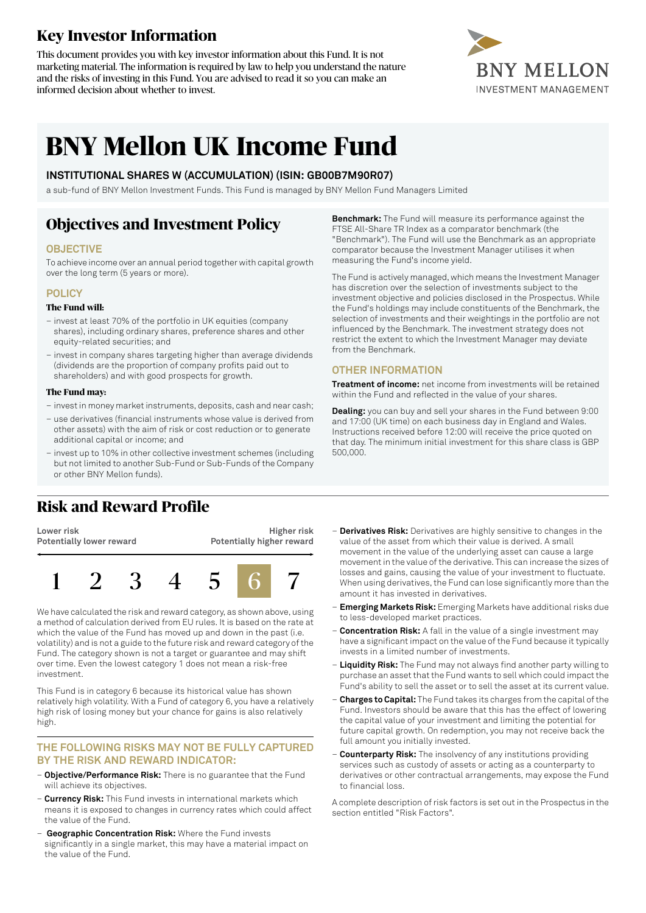# **Key Investor Information**

This document provides you with key investor information about this Fund. It is not marketing material. The information is required by law to help you understand the nature and the risks of investing in this Fund. You are advised to read it so you can make an informed decision about whether to invest.



# **BNY Mellon UK Income Fund**

### **INSTITUTIONAL SHARES W (ACCUMULATION) (ISIN: GB00B7M90R07)**

a sub-fund of BNY Mellon Investment Funds. This Fund is managed by BNY Mellon Fund Managers Limited

# **Objectives and Investment Policy**

### **OBJECTIVE**

To achieve income over an annual period together with capital growth over the long term (5 years or more).

### **POLICY**

#### **The Fund will:**

- invest at least 70% of the portfolio in UK equities (company shares), including ordinary shares, preference shares and other equity-related securities; and
- invest in company shares targeting higher than average dividends (dividends are the proportion of company profits paid out to shareholders) and with good prospects for growth.

#### **The Fund may:**

- investin money marketinstruments, deposits, cash and near cash;
- use derivatives (financial instruments whose value is derived from other assets) with the aim of risk or cost reduction or to generate additional capital or income; and
- invest up to 10% in other collective investment schemes (including but not limited to another Sub-Fund or Sub-Funds of the Company or other BNY Mellon funds).

## **Risk and Reward Profile**

**Lower risk Potentially lower reward**





We have calculated the risk and reward category, as shown above, using a method of calculation derived from EU rules. It is based on the rate at which the value of the Fund has moved up and down in the past (i.e. volatility) and is not a guide to the future risk and reward category of the Fund. The category shown is not a target or guarantee and may shift over time. Even the lowest category 1 does not mean a risk-free investment.

This Fund is in category 6 because its historical value has shown relatively high volatility. With a Fund of category 6, you have a relatively high risk of losing money but your chance for gains is also relatively high.

#### **THE FOLLOWING RISKS MAY NOT BE FULLY CAPTURED BY THE RISK AND REWARD INDICATOR:**

- **Objective/Performance Risk:** There is no guarantee that the Fund will achieve its objectives.
- **Currency Risk:** This Fund invests in international markets which means it is exposed to changes in currency rates which could affect the value of the Fund.
- **Geographic Concentration Risk:** Where the Fund invests significantly in a single market, this may have a material impact on the value of the Fund.
- **Derivatives Risk:** Derivatives are highly sensitive to changes in the value of the asset from which their value is derived. A small movement in the value of the underlying asset can cause a large movement in the value of the derivative. This can increase the sizes of losses and gains, causing the value of your investment to fluctuate. When using derivatives, the Fund can lose significantly more than the
- **Emerging Markets Risk:** Emerging Markets have additional risks due to less-developed market practices.

amount it has invested in derivatives.

- **Concentration Risk:** A fall in the value of a single investment may have a significant impact on the value of the Fund because it typically invests in a limited number of investments.
- **Liquidity Risk:** The Fund may not always find another party willing to purchase an asset that the Fund wants to sell which could impact the Fund's ability to sell the asset or to sell the asset at its current value.
- **Charges to Capital:** The Fund takes its charges from the capital ofthe Fund. Investors should be aware that this has the effect of lowering the capital value of your investment and limiting the potential for future capital growth. On redemption, you may not receive back the full amount you initially invested.
- **Counterparty Risk:** The insolvency of any institutions providing services such as custody of assets or acting as a counterparty to derivatives or other contractual arrangements, may expose the Fund to financial loss.

A complete description of risk factors is set out in the Prospectus in the section entitled "Risk Factors".

**Benchmark:** The Fund will measure its performance against the FTSE All-Share TR Index as a comparator benchmark (the "Benchmark"). The Fund will use the Benchmark as an appropriate comparator because the Investment Manager utilises it when measuring the Fund's income yield.

The Fund is actively managed, which means the Investment Manager has discretion over the selection of investments subject to the investment objective and policies disclosed in the Prospectus. While the Fund's holdings may include constituents of the Benchmark, the selection of investments and their weightings in the portfolio are not influenced by the Benchmark. The investment strategy does not restrict the extent to which the Investment Manager may deviate from the Benchmark.

### **OTHER INFORMATION**

**Treatment of income:** net income from investments will be retained within the Fund and reflected in the value of your shares.

**Dealing:** you can buy and sell your shares in the Fund between 9:00 and 17:00 (UK time) on each business day in England and Wales. Instructions received before 12:00 will receive the price quoted on that day. The minimum initial investment for this share class is GBP 500,000.